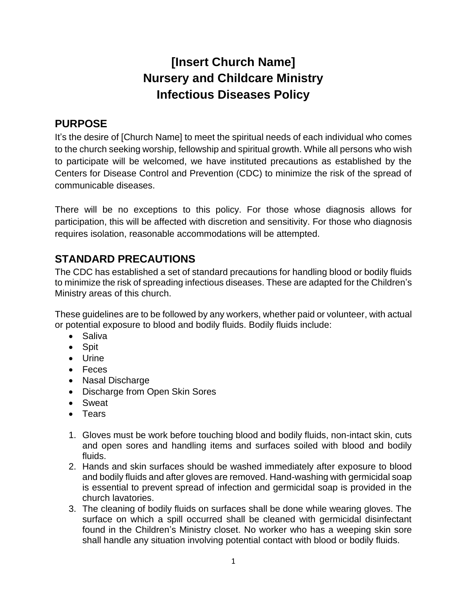# **[Insert Church Name] Nursery and Childcare Ministry Infectious Diseases Policy**

### **PURPOSE**

It's the desire of [Church Name] to meet the spiritual needs of each individual who comes to the church seeking worship, fellowship and spiritual growth. While all persons who wish to participate will be welcomed, we have instituted precautions as established by the Centers for Disease Control and Prevention (CDC) to minimize the risk of the spread of communicable diseases.

There will be no exceptions to this policy. For those whose diagnosis allows for participation, this will be affected with discretion and sensitivity. For those who diagnosis requires isolation, reasonable accommodations will be attempted.

## **STANDARD PRECAUTIONS**

The CDC has established a set of standard precautions for handling blood or bodily fluids to minimize the risk of spreading infectious diseases. These are adapted for the Children's Ministry areas of this church.

These guidelines are to be followed by any workers, whether paid or volunteer, with actual or potential exposure to blood and bodily fluids. Bodily fluids include:

- Saliva
- Spit
- Urine
- Feces
- Nasal Discharge
- Discharge from Open Skin Sores
- Sweat
- Tears
- 1. Gloves must be work before touching blood and bodily fluids, non-intact skin, cuts and open sores and handling items and surfaces soiled with blood and bodily fluids.
- 2. Hands and skin surfaces should be washed immediately after exposure to blood and bodily fluids and after gloves are removed. Hand-washing with germicidal soap is essential to prevent spread of infection and germicidal soap is provided in the church lavatories.
- 3. The cleaning of bodily fluids on surfaces shall be done while wearing gloves. The surface on which a spill occurred shall be cleaned with germicidal disinfectant found in the Children's Ministry closet. No worker who has a weeping skin sore shall handle any situation involving potential contact with blood or bodily fluids.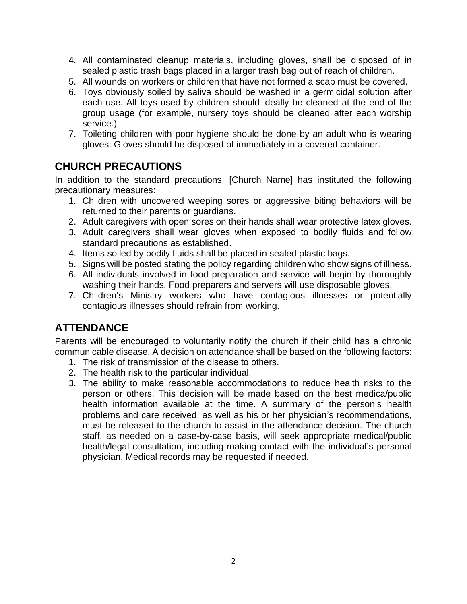- 4. All contaminated cleanup materials, including gloves, shall be disposed of in sealed plastic trash bags placed in a larger trash bag out of reach of children.
- 5. All wounds on workers or children that have not formed a scab must be covered.
- 6. Toys obviously soiled by saliva should be washed in a germicidal solution after each use. All toys used by children should ideally be cleaned at the end of the group usage (for example, nursery toys should be cleaned after each worship service.)
- 7. Toileting children with poor hygiene should be done by an adult who is wearing gloves. Gloves should be disposed of immediately in a covered container.

#### **CHURCH PRECAUTIONS**

In addition to the standard precautions, [Church Name] has instituted the following precautionary measures:

- 1. Children with uncovered weeping sores or aggressive biting behaviors will be returned to their parents or guardians.
- 2. Adult caregivers with open sores on their hands shall wear protective latex gloves.
- 3. Adult caregivers shall wear gloves when exposed to bodily fluids and follow standard precautions as established.
- 4. Items soiled by bodily fluids shall be placed in sealed plastic bags.
- 5. Signs will be posted stating the policy regarding children who show signs of illness.
- 6. All individuals involved in food preparation and service will begin by thoroughly washing their hands. Food preparers and servers will use disposable gloves.
- 7. Children's Ministry workers who have contagious illnesses or potentially contagious illnesses should refrain from working.

#### **ATTENDANCE**

Parents will be encouraged to voluntarily notify the church if their child has a chronic communicable disease. A decision on attendance shall be based on the following factors:

- 1. The risk of transmission of the disease to others.
- 2. The health risk to the particular individual.
- 3. The ability to make reasonable accommodations to reduce health risks to the person or others. This decision will be made based on the best medica/public health information available at the time. A summary of the person's health problems and care received, as well as his or her physician's recommendations, must be released to the church to assist in the attendance decision. The church staff, as needed on a case-by-case basis, will seek appropriate medical/public health/legal consultation, including making contact with the individual's personal physician. Medical records may be requested if needed.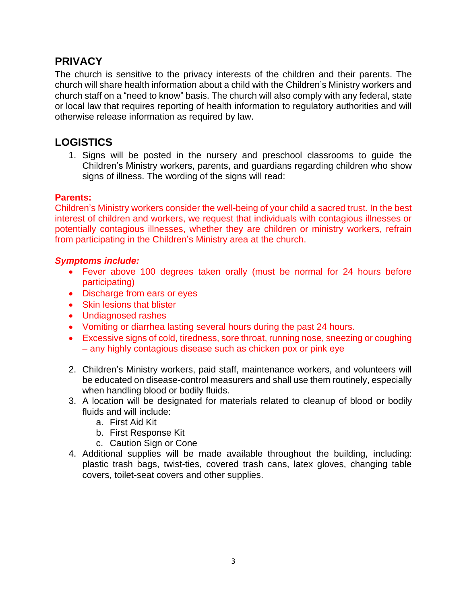#### **PRIVACY**

The church is sensitive to the privacy interests of the children and their parents. The church will share health information about a child with the Children's Ministry workers and church staff on a "need to know" basis. The church will also comply with any federal, state or local law that requires reporting of health information to regulatory authorities and will otherwise release information as required by law.

### **LOGISTICS**

1. Signs will be posted in the nursery and preschool classrooms to guide the Children's Ministry workers, parents, and guardians regarding children who show signs of illness. The wording of the signs will read:

#### **Parents:**

Children's Ministry workers consider the well-being of your child a sacred trust. In the best interest of children and workers, we request that individuals with contagious illnesses or potentially contagious illnesses, whether they are children or ministry workers, refrain from participating in the Children's Ministry area at the church.

#### *Symptoms include:*

- Fever above 100 degrees taken orally (must be normal for 24 hours before participating)
- Discharge from ears or eyes
- Skin lesions that blister
- Undiagnosed rashes
- Vomiting or diarrhea lasting several hours during the past 24 hours.
- Excessive signs of cold, tiredness, sore throat, running nose, sneezing or coughing – any highly contagious disease such as chicken pox or pink eye
- 2. Children's Ministry workers, paid staff, maintenance workers, and volunteers will be educated on disease-control measurers and shall use them routinely, especially when handling blood or bodily fluids.
- 3. A location will be designated for materials related to cleanup of blood or bodily fluids and will include:
	- a. First Aid Kit
	- b. First Response Kit
	- c. Caution Sign or Cone
- 4. Additional supplies will be made available throughout the building, including: plastic trash bags, twist-ties, covered trash cans, latex gloves, changing table covers, toilet-seat covers and other supplies.